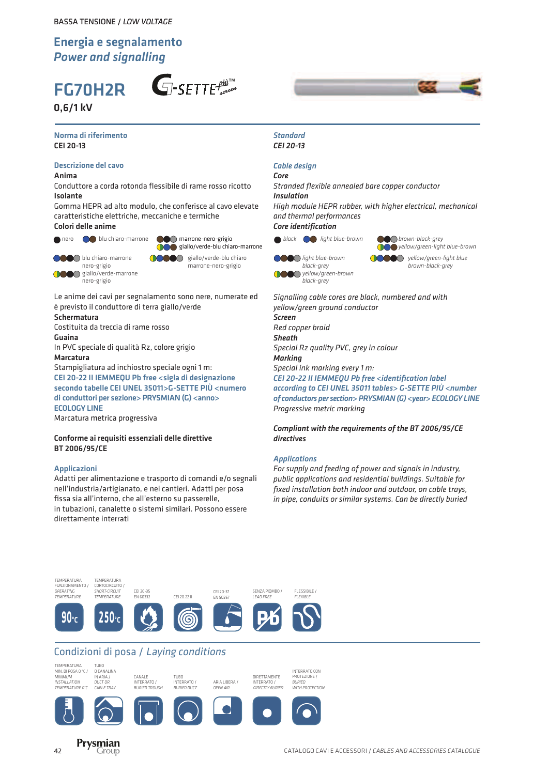# FG70H2R

0,6/1 kV





#### Norma di riferimento CEI 20-13

#### Descrizione del cavo

Anima

Conduttore a corda rotonda flessibile di rame rosso ricotto Isolante

Gomma HEPR ad alto modulo, che conferisce al cavo elevate caratteristiche elettriche, meccaniche e termiche Colori delle anime



nero **co** blu chiaro-marrone **come marrone-nero-grigio** black **or black** blue-brown **come brown-black-grey blu** marrone-nero-grigio giallo/verde-blu chiaro-marrone  $\bigcap$ 

**COO** blu chiaro-marrone nero-grigio **COO** giallo/verde-marrone nero-grigio

DOO giallo/verde-blu chiaro marrone-nero-grigio

Le anime dei cavi per segnalamento sono nere, numerate ed è previsto il conduttore di terra giallo/verde Schermatura

Costituita da treccia di rame rosso Guaina

In PVC speciale di qualità Rz, colore grigio Marcatura

Stampigliatura ad inchiostro speciale ogni 1 m: CEI 20-22 II IEMMEQU Pb free <sigla di designazione secondo tabelle CEI UNEL 35011>G-SETTE PIÙ <numero di conduttori per sezione> PRYSMIAN (G) <anno> ECOLOGY LINE

Marcatura metrica progressiva

TEMPERATURA

#### Conforme ai requisiti essenziali delle direttive BT 2006/95/CE

#### Applicazioni

Adatti per alimentazione e trasporto di comandi e/o segnali nell'industria/artigianato, e nei cantieri. Adatti per posa fissa sia all'interno, che all'esterno su passerelle, in tubazioni, canalette o sistemi similari. Possono essere direttamente interrati

#### *Standard CEI 20-13*

#### *Cable design*

*Core Stranded flexible annealed bare copper conductor Insulation*

*High module HEPR rubber, with higher electrical, mechanical and thermal performances*

*Core identification*

*black* **o** light blue-brown

*light blue-brown black-grey OOO yellow/green-brown black-grey*

**DO** *brown-black-grey*

*yellow/green-light blue-brown yellow/green-light blue*

*Signalling cable cores are black, numbered and with yellow/green ground conductor Screen*

*Red copper braid Sheath Special Rz quality PVC, grey in colour Marking Special ink marking every 1 m: CEI 20-22 II IEMMEQU Pb free <identification label* 

*according to CEI UNEL 35011 tables> G-SETTE PIÙ <number of conductors per section> PRYSMIAN (G) <year> ECOLOGY LINE Progressive metric marking*

*Compliant with the requirements of the BT 2006/95/CE directives*

#### *Applications*

*For supply and feeding of power and signals in industry, public applications and residential buildings. Suitable for fixed installation both indoor and outdoor, on cable trays, in pipe, conduits or similar systems. Can be directly buried*



## Condizioni di posa / Laying conditions



TEMPERATURA









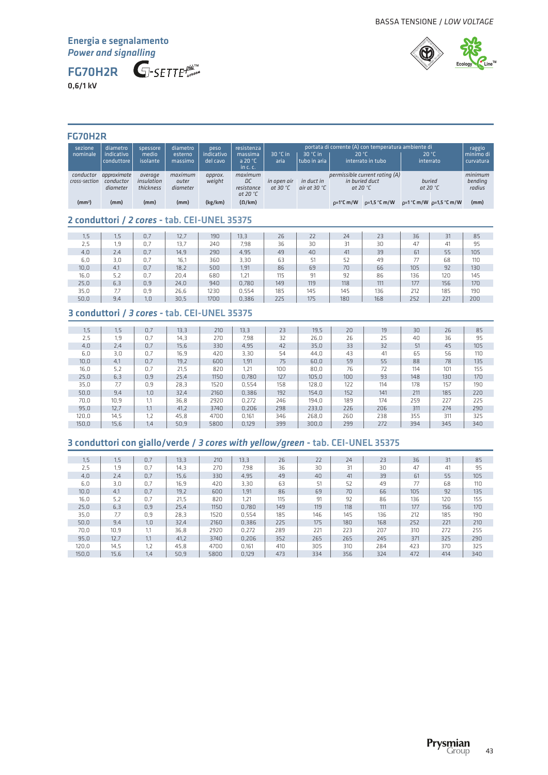FG70H2R

0,6/1 kV



## FG70H2R

| sezione<br>nominale        | diametro<br>indicativo<br>l conduttore | spessore<br>medio<br>isolante      | diametro<br>esterno<br>massimo | peso<br>indicativo<br>del cavo | resistenza<br>massima<br>a 20 $^{\circ}$ C<br>in c.c. | $30 °C$ in<br>aria                | $30 °C$ in<br>tubo in aria           | 20 °C                               | portata di corrente (A) con temperatura ambiente di<br>interrato in tubo | 20 °C<br>interrato          |                                       | raggio<br>l minimo di<br>curvatura |
|----------------------------|----------------------------------------|------------------------------------|--------------------------------|--------------------------------|-------------------------------------------------------|-----------------------------------|--------------------------------------|-------------------------------------|--------------------------------------------------------------------------|-----------------------------|---------------------------------------|------------------------------------|
| conductor<br>cross-section | approximate<br>conductor<br>diameter   | average<br>insulation<br>thickness | maximum<br>outer<br>diameter   | approx.<br>weight              | maximum<br>DC<br>resistance<br>at 20 $^{\circ}$ C     | in open air<br>at 30 $^{\circ}$ C | in duct in<br>air at 30 $^{\circ}$ C | in buried duct<br>at 20 $\degree$ C | permissible current rating (A)                                           | buried<br>at 20 $\degree$ C |                                       | minimum<br>bending<br>radius       |
| $\textsf{(mm$^2$)}$        | (mm)                                   | (mm)                               | (mm)                           | (kg/km)                        | $(\Omega/km)$                                         |                                   |                                      | $\rho = 1^\circ C \, m/W$           | $\rho = 1.5$ °C m/W                                                      |                             | $\rho = 1$ °C m/W $\rho = 1.5$ °C m/W | (mm)                               |

## 2 conduttori / *2 cores* - tab. CEI-UNEL 35375

| 1,5  | כ.ו | 0.7 | 12.7 | 190  | 13,3  | 26  | 22  | 24  | 23  | 36  | 31  | 85  |
|------|-----|-----|------|------|-------|-----|-----|-----|-----|-----|-----|-----|
| 2,5  | 1.9 | 0.7 | 13.7 | 240  | 7,98  | 36  | 30  | 31  | 30  | 47  | 41  | 95  |
| 4,0  | 2.4 | 0.7 | 14,9 | 290  | 4,95  | 49  | 40  | 41  | 39  | 61  | 55  | 105 |
| 6,0  | 3,0 | 0.7 | 16.1 | 360  | 3,30  | 63  | 51  | 52  | 49  | 77  | 68  | 110 |
| 10,0 | 4,1 | 0.7 | 18,2 | 500  | 1,91  | 86  | 69  | 70  | 66  | 105 | 92  | 130 |
| 16,0 | 5,2 | 0.7 | 20,4 | 680  | 1,21  | 115 | 91  | 92  | 86  | 136 | 120 | 145 |
| 25,0 | 6,3 | 0,9 | 24,0 | 940  | 0,780 | 149 | 119 | 118 | 111 | 177 | 156 | 170 |
| 35,0 | 7.7 | 0.9 | 26,6 | 1230 | 0.554 | 185 | 145 | 145 | 136 | 212 | 185 | 190 |
| 50,0 | 9,4 | 1,0 | 30,5 | 1700 | 0,386 | 225 | 175 | 180 | 168 | 252 | 221 | 200 |

## 3 conduttori / *3 cores* - tab. CEI-UNEL 35375

| 1,5   | 1.5  | 0,7 | 13,3 | 210  | 13.3  | 23  | 19,5  | 20               | 19  | 30  | 26  | 85  |
|-------|------|-----|------|------|-------|-----|-------|------------------|-----|-----|-----|-----|
| 2.5   | 1.9  | 0.7 | 14,3 | 270  | 7.98  | 32  | 26.0  | 26               | 25  | 40  | 36  | 95  |
| 4,0   | 2.4  | 0,7 | 15,6 | 330  | 4.95  | 42  | 35,0  | 33               | 32  | 51  | 45  | 105 |
| 6.0   | 3.0  | 0.7 | 16,9 | 420  | 3,30  | 54  | 44.0  | 43               | 41  | 65  | 56  | 110 |
| 10,0  | 4.1  | 0,7 | 19,2 | 600  | 1.91  | 75  | 60.0  | 59               | 55  | 88  | 78  | 135 |
| 16,0  | 5,2  | 0,7 | 21,5 | 820  | 1.21  | 100 | 80,0  | 76               | 72  | 114 | 101 | 155 |
| 25,0  | 6,3  | 0,9 | 25,4 | 1150 | 0.780 | 127 | 105,0 | 100 <sub>1</sub> | 93  | 148 | 130 | 170 |
| 35,0  | 7.7  | 0.9 | 28.3 | 1520 | 0.554 | 158 | 128.0 | 122              | 114 | 178 | 157 | 190 |
| 50,0  | 9.4  | 1.0 | 32,4 | 2160 | 0.386 | 192 | 154,0 | 152              | 141 | 211 | 185 | 220 |
| 70,0  | 10,9 | 1,1 | 36,8 | 2920 | 0.272 | 246 | 194,0 | 189              | 174 | 259 | 227 | 225 |
| 95,0  | 12,7 | 1,1 | 41,2 | 3740 | 0,206 | 298 | 233,0 | 226              | 206 | 311 | 274 | 290 |
| 120.0 | 14,5 | 1,2 | 45.8 | 4700 | 0.161 | 346 | 268.0 | 260              | 238 | 355 | 311 | 325 |
| 150.0 | 15.6 | 1,4 | 50.9 | 5800 | 0.129 | 399 | 300.0 | 299              | 272 | 394 | 345 | 340 |

## 3 conduttori con giallo/verde / *3 cores with yellow/green* - tab. CEI-UNEL 35375

| 1, 5  | 1.5  | 0.7 | 13,3 | 210  | 13.3  | 26  | 22  | 24  | 23  | 36  | 31  | 85  |
|-------|------|-----|------|------|-------|-----|-----|-----|-----|-----|-----|-----|
| 2,5   | 1.9  | 0,7 | 14,3 | 270  | 7,98  | 36  | 30  | 31  | 30  | 47  | 41  | 95  |
| 4,0   | 2,4  | 0.7 | 15,6 | 330  | 4.95  | 49  | 40  | 41  | 39  | 61  | 55  | 105 |
| 6,0   | 3.0  | 0.7 | 16,9 | 420  | 3,30  | 63  | 51  | 52  | 49  | 77  | 68  | 110 |
| 10,0  | 4,1  | 0.7 | 19,2 | 600  | 1,91  | 86  | 69  | 70  | 66  | 105 | 92  | 135 |
| 16,0  | 5,2  | 0,7 | 21,5 | 820  | 1.21  | 115 | 91  | 92  | 86  | 136 | 120 | 155 |
| 25,0  | 6,3  | 0,9 | 25,4 | 1150 | 0.780 | 149 | 119 | 118 | 111 | 177 | 156 | 170 |
| 35,0  | 7.7  | 0,9 | 28.3 | 1520 | 0.554 | 185 | 146 | 145 | 136 | 212 | 185 | 190 |
| 50,0  | 9.4  | 1,0 | 32,4 | 2160 | 0.386 | 225 | 175 | 180 | 168 | 252 | 221 | 210 |
| 70,0  | 10.9 | 1.1 | 36.8 | 2920 | 0.272 | 289 | 221 | 223 | 207 | 310 | 272 | 255 |
| 95,0  | 12,7 | 1,1 | 41,2 | 3740 | 0,206 | 352 | 265 | 265 | 245 | 371 | 325 | 290 |
| 120,0 | 14,5 | 1,2 | 45,8 | 4700 | 0.161 | 410 | 305 | 310 | 284 | 423 | 370 | 325 |
| 150.0 | 15.6 | 1,4 | 50.9 | 5800 | 0.129 | 473 | 334 | 356 | 324 | 472 | 414 | 340 |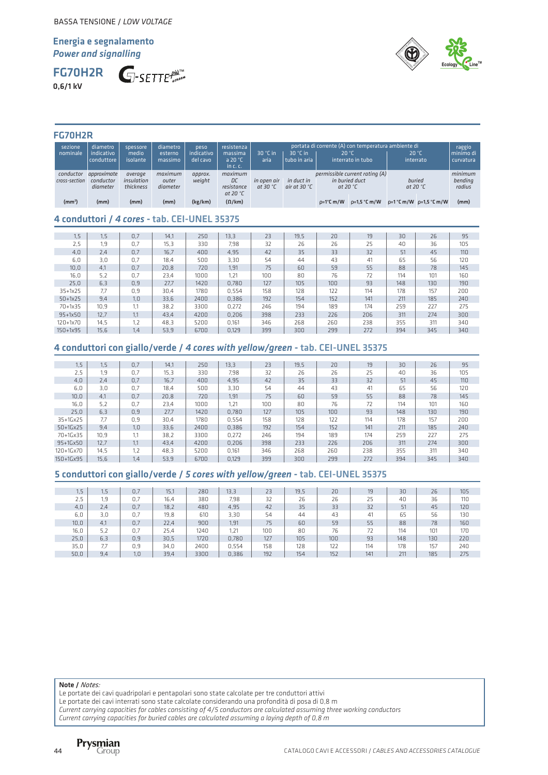FG70H2R 0,6/1 kV





#### FG70H2R

| sezione<br>nominale        | diametro<br>indicativo<br>conduttore | spessore<br>medio<br>isolante      | diametro<br>esterno<br>massimo | peso<br>indicativo<br>del cavo | resistenza<br>massima<br>a 20 $^{\circ}$ C<br>in $c$ , $c$ , | $30 °C$ in<br>aria                                                                                                                                                                  | $30 °C$ in<br>tubo in aria | 20 °C               | portata di corrente (A) con temperatura ambiente di<br>interrato in tubo |  | 20 °C<br>interrato           | raggio<br>minimo di<br>curvatura |
|----------------------------|--------------------------------------|------------------------------------|--------------------------------|--------------------------------|--------------------------------------------------------------|-------------------------------------------------------------------------------------------------------------------------------------------------------------------------------------|----------------------------|---------------------|--------------------------------------------------------------------------|--|------------------------------|----------------------------------|
| conductor<br>cross-section | approximate<br>conductor<br>diameter | average<br>insulation<br>thickness | maximum<br>outer<br>diameter   | approx.<br>weight              | maximum<br>DC<br>resistance<br>at 20 $^{\circ}$ C            | permissible current rating (A)<br>in buried duct<br>buried<br>in duct in<br>in open air<br>air at 30 $^{\circ}$ C<br>at 20 $^{\circ}$ C<br>at 30 $^{\circ}$ C<br>at 20 $^{\circ}$ C |                            |                     |                                                                          |  | minimum<br>bending<br>radius |                                  |
| (mm <sup>2</sup> )         | (mm)                                 | (mm)                               | (mm)                           | (kg/km)                        | $(\Omega/km)$                                                |                                                                                                                                                                                     |                            | $p=1^{\circ}$ C m/W | $\rho = 1.5$ °C m/W                                                      |  | $p=1$ °C m/W $p=1,5$ °C m/W  | (mm)                             |

## 4 conduttori / *4 cores* - tab. CEI-UNEL 35375

| 1.5                 | 1.5  | 0.7 | 14.1 | 250  | 13.3  | 23  | 19,5 | 20  | 19  | 30  | 26  | 95  |
|---------------------|------|-----|------|------|-------|-----|------|-----|-----|-----|-----|-----|
| 2,5                 | 1,9  | 0.7 | 15,3 | 330  | 7,98  | 32  | 26   | 26  | 25  | 40  | 36  | 105 |
| 4,0                 | 2,4  | 0.7 | 16,7 | 400  | 4,95  | 42  | 35   | 33  | 32  | 51  | 45  | 110 |
| 6.0                 | 3.0  | 0.7 | 18.4 | 500  | 3,30  | 54  | 44   | 43  | 41  | 65  | 56  | 120 |
| 10,0                | 4,1  | 0.7 | 20,8 | 720  | 1,91  | 75  | 60   | 59  | 55  | 88  | 78  | 145 |
| 16,0                | 5,2  | 0.7 | 23,4 | 1000 | 1.21  | 100 | 80   | 76  | 72  | 114 | 101 | 160 |
| 25.0                | 6,3  | 0.9 | 27.7 | 1420 | 0.780 | 127 | 105  | 100 | 93  | 148 | 130 | 190 |
| $35+1x25$           | 7.7  | 0.9 | 30,4 | 1780 | 0.554 | 158 | 128  | 122 | 114 | 178 | 157 | 200 |
| $50+1x25$           | 9,4  | 1.0 | 33,6 | 2400 | 0.386 | 192 | 154  | 152 | 141 | 211 | 185 | 240 |
| 70+1x35             | 10.9 | 1.1 | 38.2 | 3300 | 0.272 | 246 | 194  | 189 | 174 | 259 | 227 | 275 |
| $95 + 1 \times 50$  | 12,7 | 1.1 | 43,4 | 4200 | 0.206 | 398 | 233  | 226 | 206 | 311 | 274 | 300 |
| 120+1x70            | 14,5 | 1,2 | 48.3 | 5200 | 0.161 | 346 | 268  | 260 | 238 | 355 | 311 | 340 |
| $150 + 1 \times 95$ | 15,6 | 1.4 | 53.9 | 6700 | 0.129 | 399 | 300  | 299 | 272 | 394 | 345 | 340 |

## 4 conduttori con giallo/verde / *4 cores with yellow/green* - tab. CEI-UNEL 35375

| 1,5        | 1.5  | 0.7 | 14.1 | 250  | 13,3  | 23  | 19,5 | 20  | 19  | 30  | 26  | 95              |
|------------|------|-----|------|------|-------|-----|------|-----|-----|-----|-----|-----------------|
| 2.5        | 1.9  | 0.7 | 15,3 | 330  | 7,98  | 32  | 26   | 26  | 25  | 40  | 36  | 105             |
| 4.0        | 2.4  | 0.7 | 16.7 | 400  | 4.95  | 42  | 35   | 33  | 32  | 51  | 45  | 11 <sub>0</sub> |
| 6.0        | 3.0  | 0.7 | 18,4 | 500  | 3.30  | 54  | 44   | 43  | 41  | 65  | 56  | 120             |
| 10,0       | 4,1  | 0.7 | 20,8 | 720  | 1,91  | 75  | 60   | 59  | 55  | 88  | 78  | 145             |
| 16,0       | 5,2  | 0.7 | 23.4 | 1000 | 1.21  | 100 | 80   | 76  | 72  | 114 | 101 | 160             |
| 25,0       | 6.3  | 0,9 | 27.7 | 1420 | 0.780 | 127 | 105  | 100 | 93  | 148 | 130 | 190             |
| 35+1Gx25   | 7.7  | 0.9 | 30.4 | 1780 | 0.554 | 158 | 128  | 122 | 114 | 178 | 157 | 200             |
| $50+16x25$ | 9.4  | 1.0 | 33.6 | 2400 | 0.386 | 192 | 154  | 152 | 141 | 211 | 185 | 240             |
| 70+1Gx35   | 10.9 | 1.1 | 38.2 | 3300 | 0.272 | 246 | 194  | 189 | 174 | 259 | 227 | 275             |
| 95+1Gx50   | 12.7 | 1,1 | 43,4 | 4200 | 0,206 | 398 | 233  | 226 | 206 | 311 | 274 | 300             |
| 120+1Gx70  | 14,5 | 1,2 | 48.3 | 5200 | 0.161 | 346 | 268  | 260 | 238 | 355 | 311 | 340             |
| 150+1Gx95  | 15,6 | 1,4 | 53.9 | 6700 | 0.129 | 399 | 300  | 299 | 272 | 394 | 345 | 340             |

#### 5 conduttori con giallo/verde / *5 cores with yellow/green* - tab. CEI-UNEL 35375

| 1,5  | 1.5 | 0.7 | 15,1 | 280  | 13.3  | 23  | 19.5 | 20               | 19  | 30  | 26  | 105 |
|------|-----|-----|------|------|-------|-----|------|------------------|-----|-----|-----|-----|
| 2,5  | 1.9 | 0.7 | 16.4 | 380  | 7,98  | 32  | 26   | 26               | 25  | 40  | 36  | 110 |
| 4,0  | 2,4 | 0,7 | 18.2 | 480  | 4,95  | 42  | 35   | 33               | 32  | 51  | 45  | 120 |
| 6,0  | 3,0 | 0.7 | 19,8 | 610  | 3,30  | 54  | 44   | 43               | 41  | 65  | 56  | 130 |
| 10,0 | 4,1 | 0,7 | 22,4 | 900  | 1,91  | 75  | 60   | 59               | 55  | 88  | 78  | 160 |
| 16,0 | 5,2 | 0.7 | 25,4 | 1240 | 1.21  | 100 | 80   | 76               | 72  | 114 | 101 | 170 |
| 25,0 | 6,3 | 0,9 | 30,5 | 1720 | 0,780 | 127 | 105  | 100 <sub>1</sub> | 93  | 148 | 130 | 220 |
| 35,0 |     | 0.9 | 34,0 | 2400 | 0,554 | 158 | 128  | 122              | 114 | 178 | 157 | 240 |
| 50,0 | 9,4 | 1,0 | 39,4 | 3300 | 0,386 | 192 | 154  | 152              | 141 | 211 | 185 | 275 |

#### Note / *Notes:*

Le portate dei cavi quadripolari e pentapolari sono state calcolate per tre conduttori attivi

Le portate dei cavi interrati sono state calcolate considerando una profondità di posa di 0,8 m

*Current carrying capacities for cables consisting of 4/5 conductors are calculated assuming three working conductors*

*Current carrying capacities for buried cables are calculated assuming a laying depth of 0,8 m*